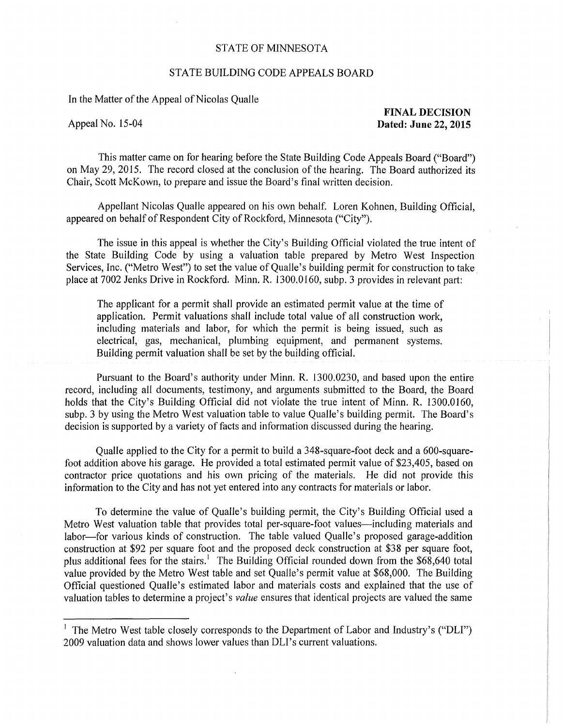## STATE OF MINNESOTA

## STATE BUILDING CODE APPEALS BOARD

In the Matter of the Appeal of Nicolas Qualle

**FINAL DECISION**  Appeal No. 15-04 **Dated: June 22, 2015** 

This matter came on for hearing before the State Building Code Appeals Board ("Board") on May 29, 2015. The record closed at the conclusion of the hearing. The Board authorized its Chair, Scott McKown, to prepare and issue the Board's final written decision.

Appellant Nicolas Qualle appeared on his own behalf. Loren Kohnen, Building Official, appeared on behalf of Respondent City of Rockford, Minnesota ("City").

The issue in this appeal is whether the City's Building Official violated the true intent of the State Building Code by using a valuation table prepared by Metro West Inspection Services, Inc. ("Metro West") to set the value of Qualle's building permit for construction to take. place at 7002 Jenks Drive in Rockford. Minn. R. 1300.0160, subp. 3 provides in relevant part:

The applicant for a permit shall provide an estimated permit value at the time of application. Permit valuations shall include total value of all construction work, including materials and labor, for which the permit is being issued, such as electrical, gas, mechanical, plumbing equipment, and permanent systems. Building permit valuation shall be set by the building official.

Pursuant to the Board's authority under Minn. R. 1300.0230, and based upon the entire record, including all documents, testimony, and arguments submitted to the Board, the Board holds that the City's Building Official did not violate the true intent of Minn. R. 1300.0160, subp. 3 by using the Metro West valuation table to value Qualle's building permit. The Board's decision is supported by a variety of facts and information discussed during the hearing.

Qualle applied to the City for a permit to build a 348-square-foot deck and a 600-squarefoot addition above his garage. He provided a total estimated permit value of \$23,405, based on contractor price quotations and his own pricing of the materials. He did not provide this information to the City and has not yet entered into any contracts for materials or labor.

To determine the value of Qualle's building permit, the City's Building Official used a Metro West valuation table that provides total per-square-foot values—including materials and labor—for various kinds of construction. The table valued Qualle's proposed garage-addition construction at \$92 per square foot and the proposed deck construction at \$38 per square foot, plus additional fees for the stairs.<sup>1</sup> The Building Official rounded down from the \$68,640 total value provided by the Metro West table and set Qualle's permit value at \$68,000. The Building Official questioned Qualle's estimated labor and materials costs and explained that the use of valuation tables to determine a project's *value* ensures that identical projects are valued the same

<sup>&</sup>lt;sup>1</sup> The Metro West table closely corresponds to the Department of Labor and Industry's ("DLI") 2009 valuation data and shows lower values than DLI's current valuations.